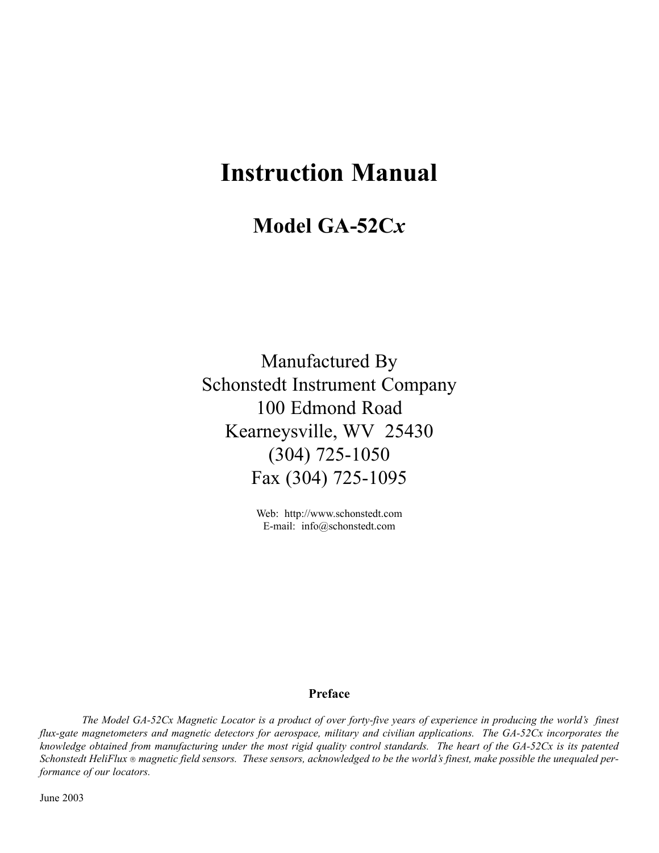# **Instruction Manual**

## **Model GA-52C***x*

Manufactured By Schonstedt Instrument Company 100 Edmond Road Kearneysville, WV 25430 (304) 725-1050 Fax (304) 725-1095

> Web: http://www.schonstedt.com E-mail: info@schonstedt.com

#### **Preface**

*The Model GA-52Cx Magnetic Locator is a product of over forty-five years of experience in producing the world's finest flux-gate magnetometers and magnetic detectors for aerospace, military and civilian applications. The GA-52Cx incorporates the knowledge obtained from manufacturing under the most rigid quality control standards. The heart of the GA-52Cx is its patented Schonstedt HeliFlux magnetic field sensors. These sensors, acknowledged to be the world's finest, make possible the unequaled performance of our locators.*

June 2003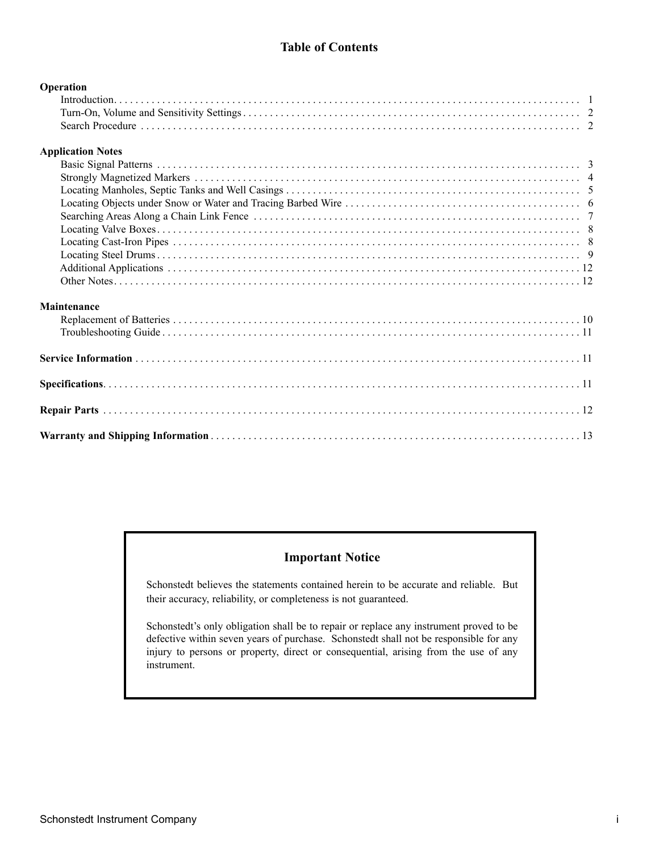### **Table of Contents**

| Operation                |  |
|--------------------------|--|
|                          |  |
|                          |  |
|                          |  |
| <b>Application Notes</b> |  |
|                          |  |
|                          |  |
|                          |  |
|                          |  |
|                          |  |
|                          |  |
|                          |  |
|                          |  |
|                          |  |
|                          |  |
| Maintenance              |  |
|                          |  |
|                          |  |
|                          |  |
|                          |  |
|                          |  |
|                          |  |

## **Important Notice**

Schonstedt believes the statements contained herein to be accurate and reliable. But their accuracy, reliability, or completeness is not guaranteed.

Schonstedt's only obligation shall be to repair or replace any instrument proved to be defective within seven years of purchase. Schonstedt shall not be responsible for any injury to persons or property, direct or consequential, arising from the use of any instrument.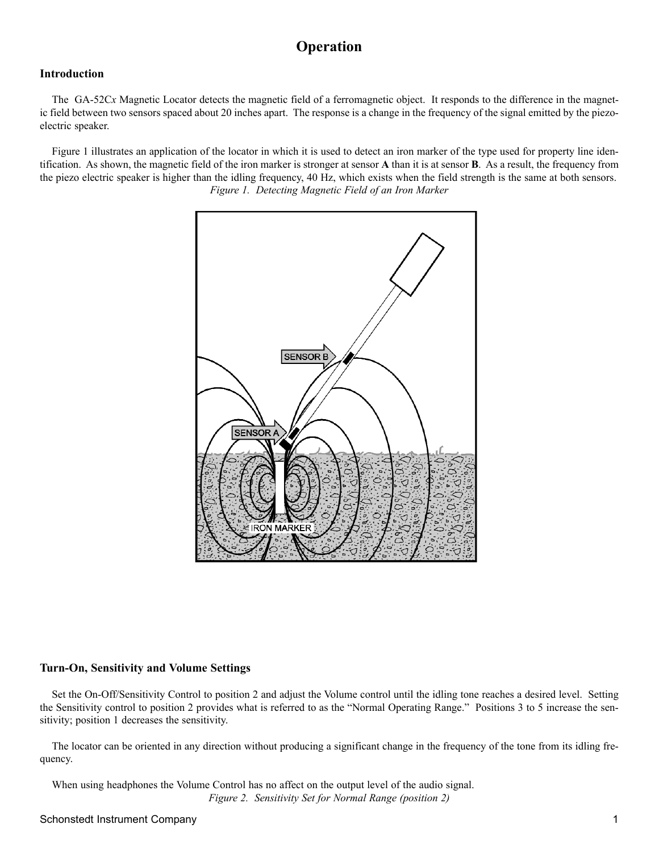## **Operation**

#### **Introduction**

The GA-52C*x* Magnetic Locator detects the magnetic field of a ferromagnetic object. It responds to the difference in the magnetic field between two sensors spaced about 20 inches apart. The response is a change in the frequency of the signal emitted by the piezoelectric speaker.

Figure 1 illustrates an application of the locator in which it is used to detect an iron marker of the type used for property line identification. As shown, the magnetic field of the iron marker is stronger at sensor **A** than it is at sensor **B**. As a result, the frequency from the piezo electric speaker is higher than the idling frequency, 40 Hz, which exists when the field strength is the same at both sensors. *Figure 1. Detecting Magnetic Field of an Iron Marker*



#### **Turn-On, Sensitivity and Volume Settings**

Set the On-Off/Sensitivity Control to position 2 and adjust the Volume control until the idling tone reaches a desired level. Setting the Sensitivity control to position 2 provides what is referred to as the "Normal Operating Range." Positions 3 to 5 increase the sensitivity; position 1 decreases the sensitivity.

The locator can be oriented in any direction without producing a significant change in the frequency of the tone from its idling frequency.

When using headphones the Volume Control has no affect on the output level of the audio signal. *Figure 2. Sensitivity Set for Normal Range (position 2)*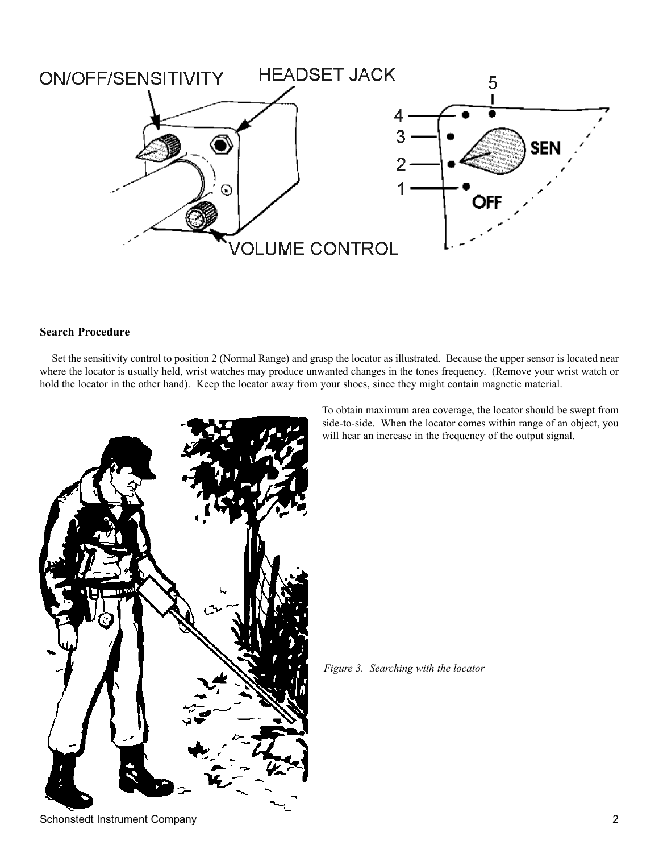

#### **Search Procedure**

Set the sensitivity control to position 2 (Normal Range) and grasp the locator as illustrated. Because the upper sensor is located near where the locator is usually held, wrist watches may produce unwanted changes in the tones frequency. (Remove your wrist watch or hold the locator in the other hand). Keep the locator away from your shoes, since they might contain magnetic material.



To obtain maximum area coverage, the locator should be swept from side-to-side. When the locator comes within range of an object, you will hear an increase in the frequency of the output signal.

*Figure 3. Searching with the locator*

Schonstedt Instrument Company 2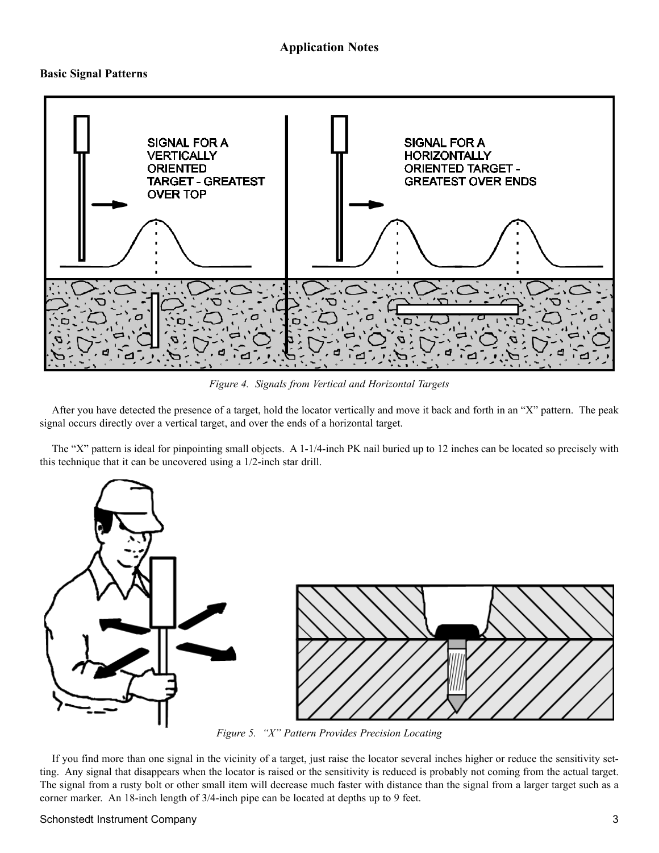#### **Application Notes**

#### **Basic Signal Patterns**



*Figure 4. Signals from Vertical and Horizontal Targets*

After you have detected the presence of a target, hold the locator vertically and move it back and forth in an "X" pattern. The peak signal occurs directly over a vertical target, and over the ends of a horizontal target.

The "X" pattern is ideal for pinpointing small objects. A 1-1/4-inch PK nail buried up to 12 inches can be located so precisely with this technique that it can be uncovered using a 1/2-inch star drill.



*Figure 5. "X" Pattern Provides Precision Locating*

If you find more than one signal in the vicinity of a target, just raise the locator several inches higher or reduce the sensitivity setting. Any signal that disappears when the locator is raised or the sensitivity is reduced is probably not coming from the actual target. The signal from a rusty bolt or other small item will decrease much faster with distance than the signal from a larger target such as a corner marker. An 18-inch length of 3/4-inch pipe can be located at depths up to 9 feet.

#### Schonstedt Instrument Company 3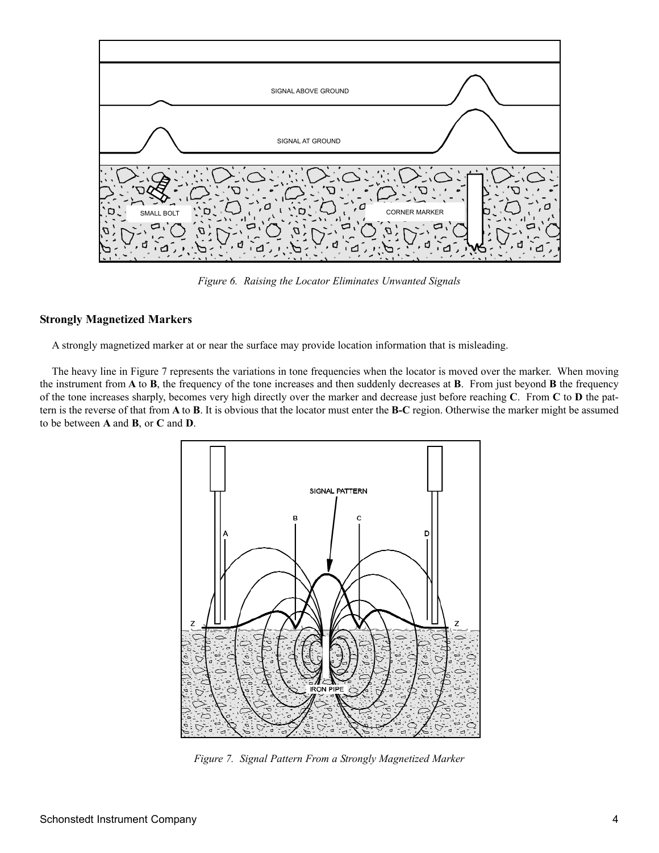

*Figure 6. Raising the Locator Eliminates Unwanted Signals*

#### **Strongly Magnetized Markers**

A strongly magnetized marker at or near the surface may provide location information that is misleading.

The heavy line in Figure 7 represents the variations in tone frequencies when the locator is moved over the marker. When moving the instrument from **A** to **B**, the frequency of the tone increases and then suddenly decreases at **B**. From just beyond **B** the frequency of the tone increases sharply, becomes very high directly over the marker and decrease just before reaching **C**. From **C** to **D** the pattern is the reverse of that from **A** to **B**. It is obvious that the locator must enter the **B-C** region. Otherwise the marker might be assumed to be between **A** and **B**, or **C** and **D**.



*Figure 7. Signal Pattern From a Strongly Magnetized Marker*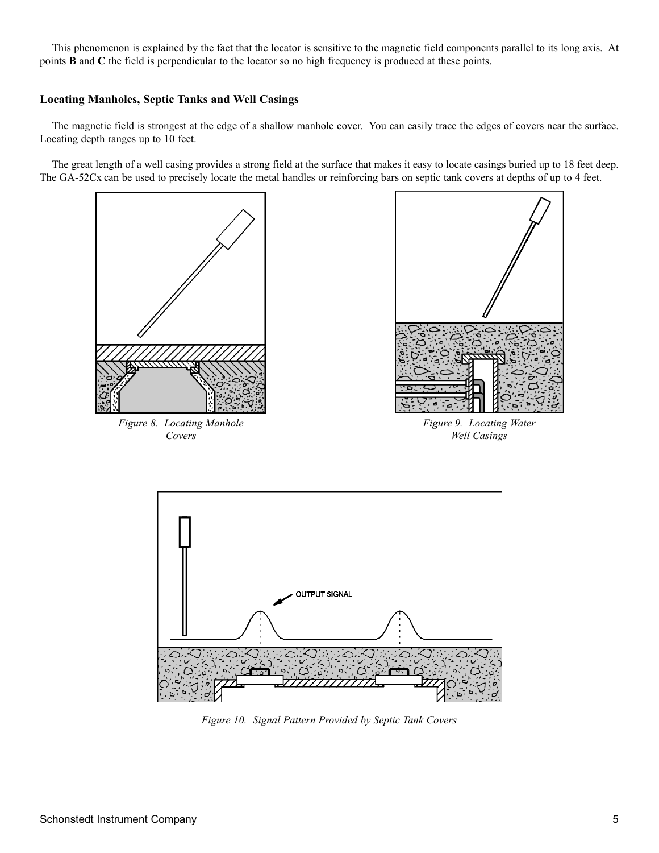This phenomenon is explained by the fact that the locator is sensitive to the magnetic field components parallel to its long axis. At points **B** and **C** the field is perpendicular to the locator so no high frequency is produced at these points.

#### **Locating Manholes, Septic Tanks and Well Casings**

The magnetic field is strongest at the edge of a shallow manhole cover. You can easily trace the edges of covers near the surface. Locating depth ranges up to 10 feet.

The great length of a well casing provides a strong field at the surface that makes it easy to locate casings buried up to 18 feet deep. The GA-52Cx can be used to precisely locate the metal handles or reinforcing bars on septic tank covers at depths of up to 4 feet.



*Figure 10. Signal Pattern Provided by Septic Tank Covers*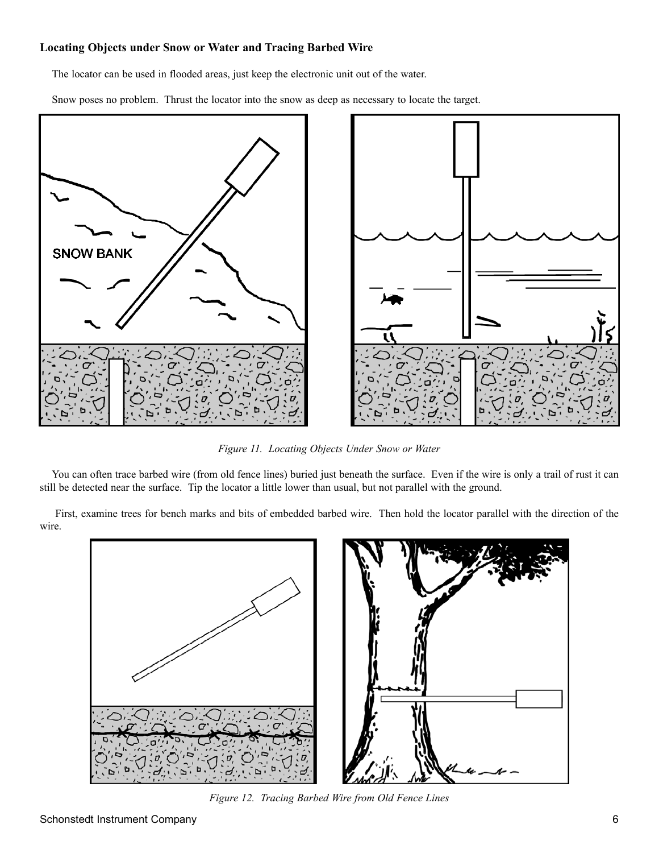#### **Locating Objects under Snow or Water and Tracing Barbed Wire**

The locator can be used in flooded areas, just keep the electronic unit out of the water.

Snow poses no problem. Thrust the locator into the snow as deep as necessary to locate the target.



*Figure 11. Locating Objects Under Snow or Water*

You can often trace barbed wire (from old fence lines) buried just beneath the surface. Even if the wire is only a trail of rust it can still be detected near the surface. Tip the locator a little lower than usual, but not parallel with the ground.

First, examine trees for bench marks and bits of embedded barbed wire. Then hold the locator parallel with the direction of the wire.



*Figure 12. Tracing Barbed Wire from Old Fence Lines*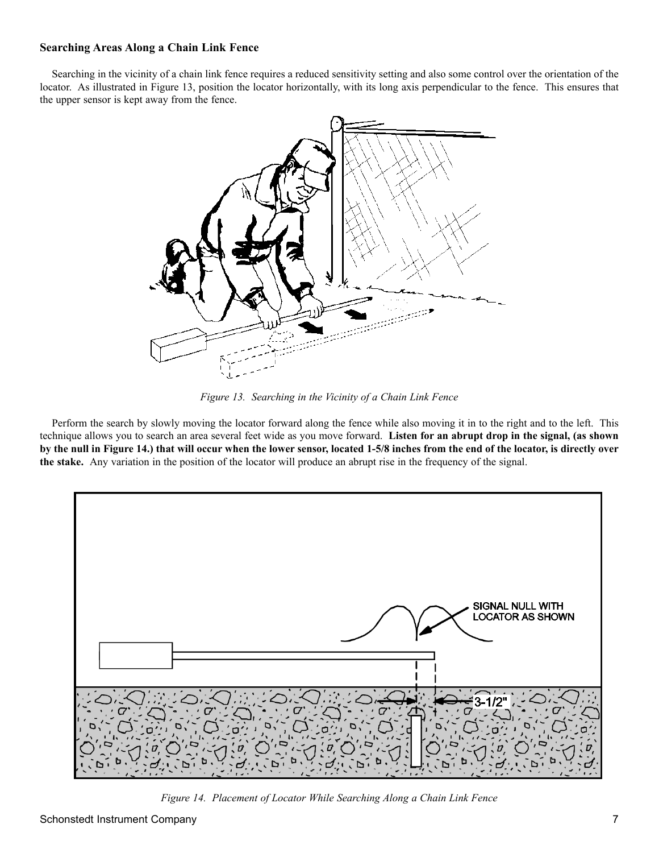#### **Searching Areas Along a Chain Link Fence**

Searching in the vicinity of a chain link fence requires a reduced sensitivity setting and also some control over the orientation of the locator. As illustrated in Figure 13, position the locator horizontally, with its long axis perpendicular to the fence. This ensures that the upper sensor is kept away from the fence.



*Figure 13. Searching in the Vicinity of a Chain Link Fence*

Perform the search by slowly moving the locator forward along the fence while also moving it in to the right and to the left. This technique allows you to search an area several feet wide as you move forward. **Listen for an abrupt drop in the signal, (as shown by the null in Figure 14.) that will occur when the lower sensor, located 1-5/8 inches from the end of the locator, is directly over the stake.** Any variation in the position of the locator will produce an abrupt rise in the frequency of the signal.



*Figure 14. Placement of Locator While Searching Along a Chain Link Fence*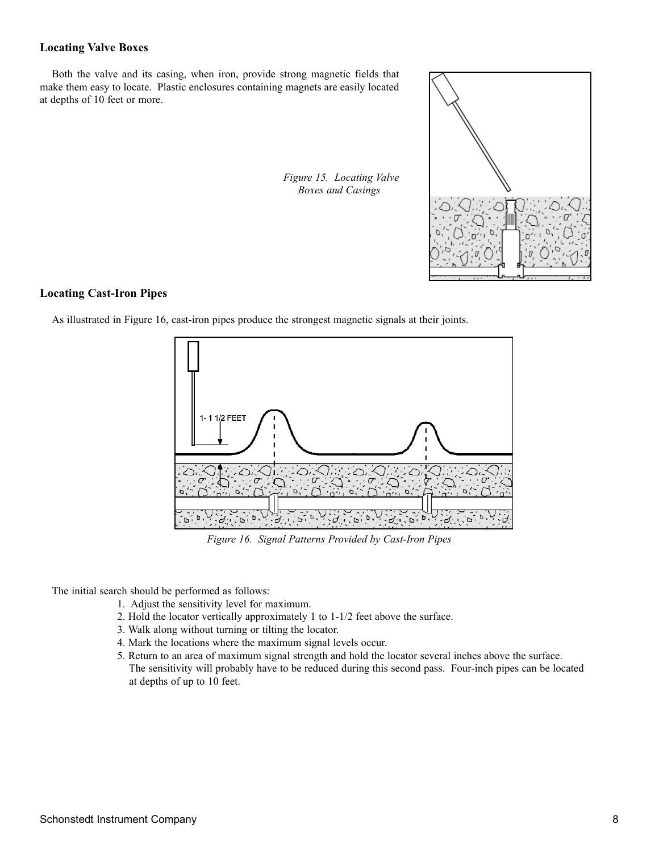#### **Locating Valve Boxes**

Both the valve and its casing, when iron, provide strong magnetic fields that make them easy to locate. Plastic enclosures containing magnets are easily located at depths of 10 feet or more.

*Figure 15. Locating Valve Boxes and Casings*



#### **Locating Cast-Iron Pipes**

As illustrated in Figure 16, cast-iron pipes produce the strongest magnetic signals at their joints.



*Figure 16. Signal Patterns Provided by Cast-Iron Pipes*

The initial search should be performed as follows:

- 1. Adjust the sensitivity level for maximum.
- 2. Hold the locator vertically approximately 1 to 1-1/2 feet above the surface.
- 3. Walk along without turning or tilting the locator.
- 4. Mark the locations where the maximum signal levels occur.
- 5. Return to an area of maximum signal strength and hold the locator several inches above the surface. The sensitivity will probably have to be reduced during this second pass. Four-inch pipes can be located at depths of up to 10 feet.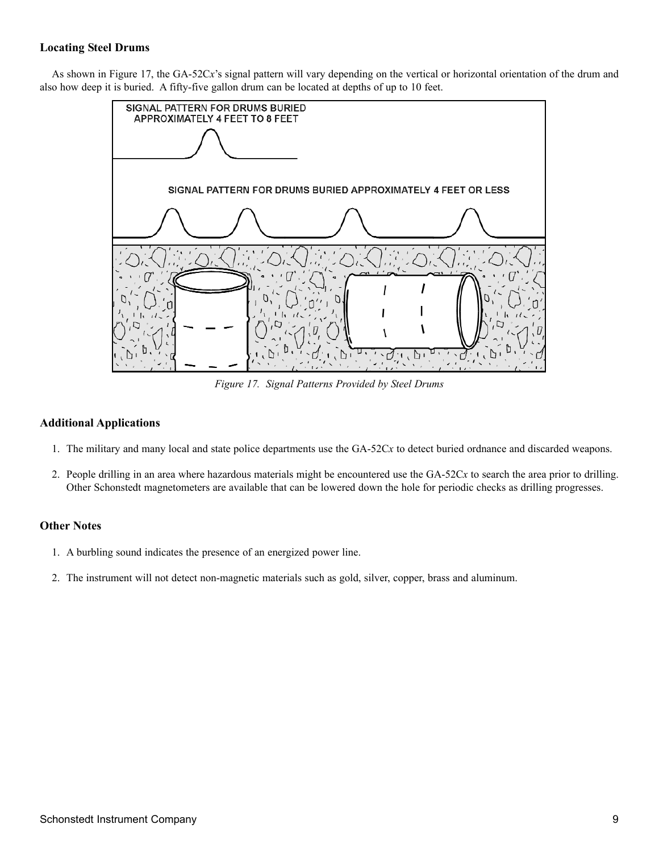#### **Locating Steel Drums**

As shown in Figure 17, the GA-52C*x*'s signal pattern will vary depending on the vertical or horizontal orientation of the drum and also how deep it is buried. A fifty-five gallon drum can be located at depths of up to 10 feet.



*Figure 17. Signal Patterns Provided by Steel Drums*

#### **Additional Applications**

- 1. The military and many local and state police departments use the GA-52C*x* to detect buried ordnance and discarded weapons.
- 2. People drilling in an area where hazardous materials might be encountered use the GA-52C*x* to search the area prior to drilling. Other Schonstedt magnetometers are available that can be lowered down the hole for periodic checks as drilling progresses.

#### **Other Notes**

- 1. A burbling sound indicates the presence of an energized power line.
- 2. The instrument will not detect non-magnetic materials such as gold, silver, copper, brass and aluminum.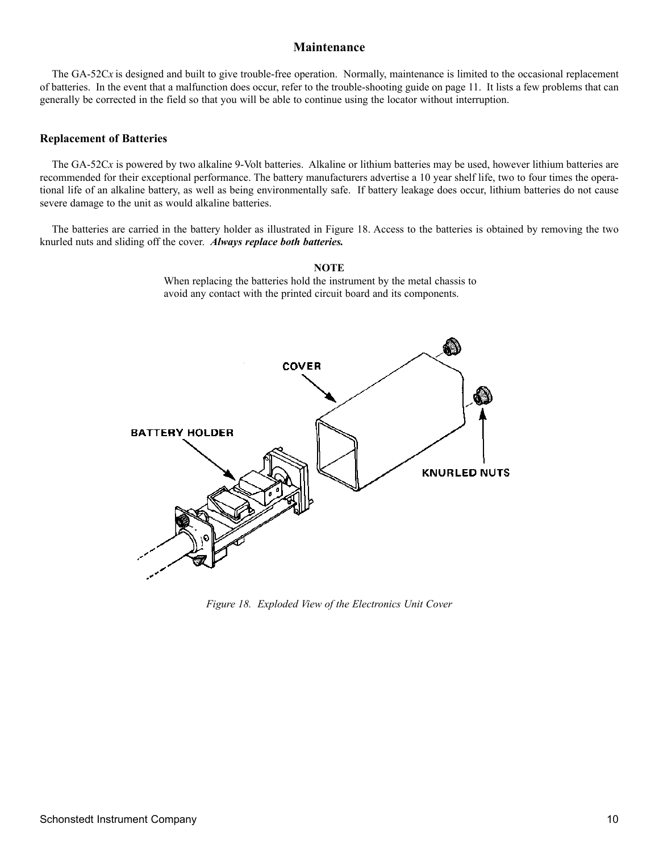#### **Maintenance**

The  $GA-52Cx$  is designed and built to give trouble-free operation. Normally, maintenance is limited to the occasional replacement of batteries. In the event that a malfunction does occur, refer to the trouble-shooting guide on page 11. It lists a few problems that can generally be corrected in the field so that you will be able to continue using the locator without interruption.

#### **Replacement of Batteries**

The GA-52C*x* is powered by two alkaline 9-Volt batteries. Alkaline or lithium batteries may be used, however lithium batteries are recommended for their exceptional performance. The battery manufacturers advertise a 10 year shelf life, two to four times the operational life of an alkaline battery, as well as being environmentally safe. If battery leakage does occur, lithium batteries do not cause severe damage to the unit as would alkaline batteries.

The batteries are carried in the battery holder as illustrated in Figure 18. Access to the batteries is obtained by removing the two knurled nuts and sliding off the cover. *Always replace both batteries.*



**NOTE** When replacing the batteries hold the instrument by the metal chassis to avoid any contact with the printed circuit board and its components.

*Figure 18. Exploded View of the Electronics Unit Cover*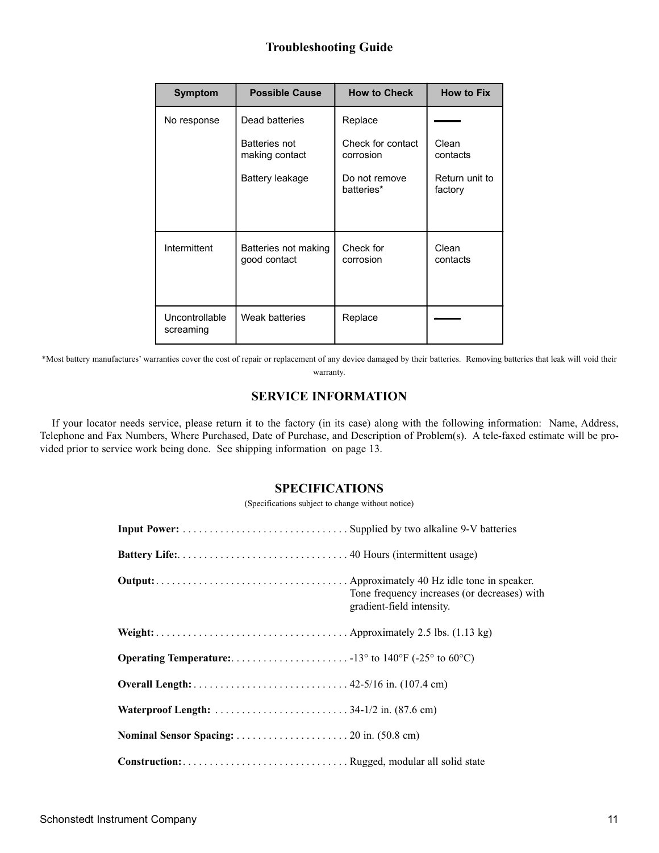## **Troubleshooting Guide**

| <b>Symptom</b>              | <b>Possible Cause</b>                | <b>How to Check</b>            | <b>How to Fix</b>         |
|-----------------------------|--------------------------------------|--------------------------------|---------------------------|
| No response                 | Dead batteries                       | Replace                        |                           |
|                             | Batteries not<br>making contact      | Check for contact<br>corrosion | Clean<br>contacts         |
|                             | Battery leakage                      | Do not remove<br>batteries*    | Return unit to<br>factory |
| Intermittent                | Batteries not making<br>good contact | Check for<br>corrosion         | Clean<br>contacts         |
| Uncontrollable<br>screaming | Weak batteries                       | Replace                        |                           |

\*Most battery manufactures' warranties cover the cost of repair or replacement of any device damaged by their batteries. Removing batteries that leak will void their warranty.

#### **SERVICE INFORMATION**

If your locator needs service, please return it to the factory (in its case) along with the following information: Name, Address, Telephone and Fax Numbers, Where Purchased, Date of Purchase, and Description of Problem(s). A tele-faxed estimate will be provided prior to service work being done. See shipping information on page 13.

#### **SPECIFICATIONS**

(Specifications subject to change without notice)

| Tone frequency increases (or decreases) with<br>gradient-field intensity. |
|---------------------------------------------------------------------------|
|                                                                           |
|                                                                           |
|                                                                           |
|                                                                           |
|                                                                           |
|                                                                           |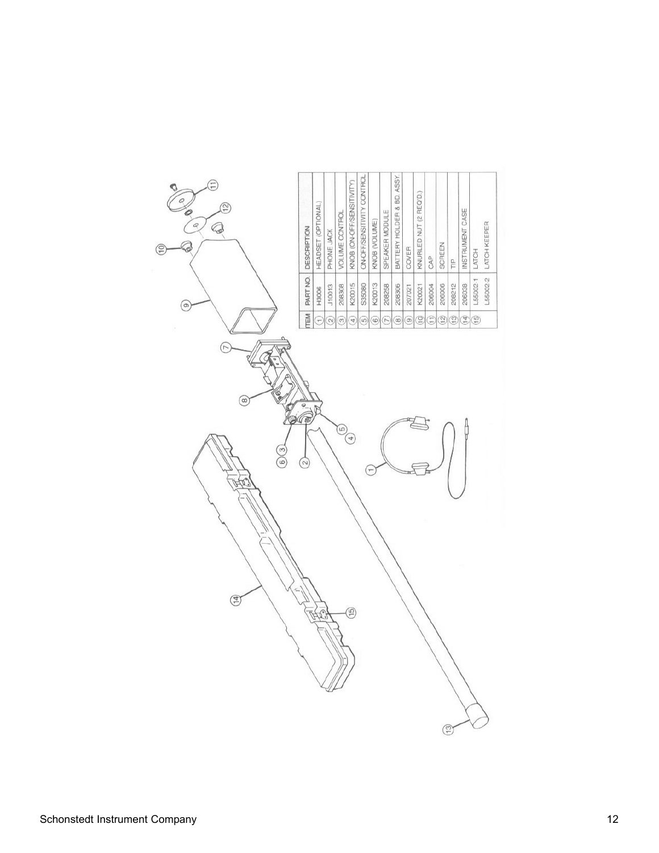